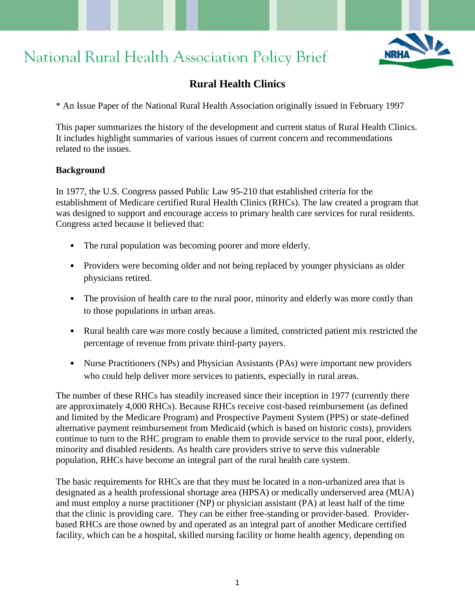# National Rural Health Association Policy Brief



# **Rural Health Clinics**

\* An Issue Paper of the National Rural Health Association originally issued in February 1997

This paper summarizes the history of the development and current status of Rural Health Clinics. It includes highlight summaries of various issues of current concern and recommendations related to the issues.

#### **Background**

In 1977, the U.S. Congress passed Public Law 95-210 that established criteria for the establishment of Medicare certified Rural Health Clinics (RHCs). The law created a program that was designed to support and encourage access to primary health care services for rural residents. Congress acted because it believed that:

- The rural population was becoming poorer and more elderly.
- Providers were becoming older and not being replaced by younger physicians as older physicians retired.
- The provision of health care to the rural poor, minority and elderly was more costly than to those populations in urban areas.
- Rural health care was more costly because a limited, constricted patient mix restricted the percentage of revenue from private third-party payers.
- Nurse Practitioners (NPs) and Physician Assistants (PAs) were important new providers who could help deliver more services to patients, especially in rural areas.

The number of these RHCs has steadily increased since their inception in 1977 (currently there are approximately 4,000 RHCs). Because RHCs receive cost-based reimbursement (as defined and limited by the Medicare Program) and Prospective Payment System (PPS) or state-defined alternative payment reimbursement from Medicaid (which is based on historic costs), providers continue to turn to the RHC program to enable them to provide service to the rural poor, elderly, minority and disabled residents. As health care providers strive to serve this vulnerable population, RHCs have become an integral part of the rural health care system.

The basic requirements for RHCs are that they must be located in a non-urbanized area that is designated as a health professional shortage area (HPSA) or medically underserved area (MUA) and must employ a nurse practitioner (NP) or physician assistant (PA) at least half of the time that the clinic is providing care. They can be either free-standing or provider-based. Providerbased RHCs are those owned by and operated as an integral part of another Medicare certified facility, which can be a hospital, skilled nursing facility or home health agency, depending on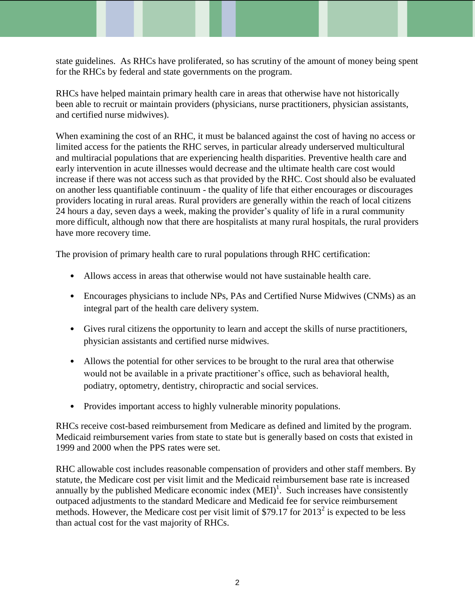state guidelines. As RHCs have proliferated, so has scrutiny of the amount of money being spent for the RHCs by federal and state governments on the program.

RHCs have helped maintain primary health care in areas that otherwise have not historically been able to recruit or maintain providers (physicians, nurse practitioners, physician assistants, and certified nurse midwives).

When examining the cost of an RHC, it must be balanced against the cost of having no access or limited access for the patients the RHC serves, in particular already underserved multicultural and multiracial populations that are experiencing health disparities. Preventive health care and early intervention in acute illnesses would decrease and the ultimate health care cost would increase if there was not access such as that provided by the RHC. Cost should also be evaluated on another less quantifiable continuum - the quality of life that either encourages or discourages providers locating in rural areas. Rural providers are generally within the reach of local citizens 24 hours a day, seven days a week, making the provider's quality of life in a rural community more difficult, although now that there are hospitalists at many rural hospitals, the rural providers have more recovery time.

The provision of primary health care to rural populations through RHC certification:

- Allows access in areas that otherwise would not have sustainable health care.
- Encourages physicians to include NPs, PAs and Certified Nurse Midwives (CNMs) as an integral part of the health care delivery system.
- Gives rural citizens the opportunity to learn and accept the skills of nurse practitioners, physician assistants and certified nurse midwives.
- Allows the potential for other services to be brought to the rural area that otherwise would not be available in a private practitioner's office, such as behavioral health, podiatry, optometry, dentistry, chiropractic and social services.
- Provides important access to highly vulnerable minority populations.

RHCs receive cost-based reimbursement from Medicare as defined and limited by the program. Medicaid reimbursement varies from state to state but is generally based on costs that existed in 1999 and 2000 when the PPS rates were set.

RHC allowable cost includes reasonable compensation of providers and other staff members. By statute, the Medicare cost per visit limit and the Medicaid reimbursement base rate is increased annually by the published Medicare economic index  $(MEI)^1$ . Such increases have consistently outpaced adjustments to the standard Medicare and Medicaid fee for service reimbursement methods. However, the Medicare cost per visit limit of \$79.17 for  $2013^2$  is expected to be less than actual cost for the vast majority of RHCs.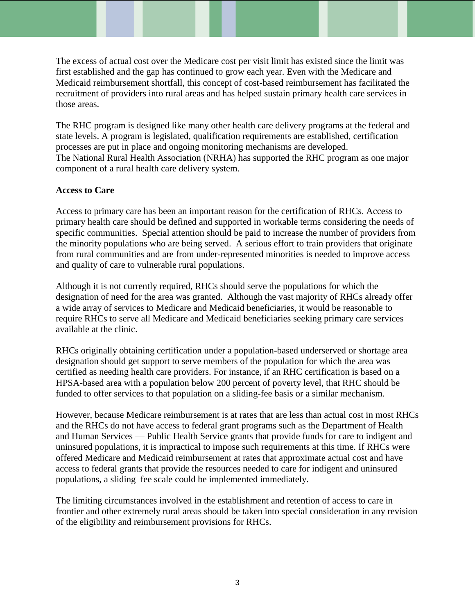The excess of actual cost over the Medicare cost per visit limit has existed since the limit was first established and the gap has continued to grow each year. Even with the Medicare and Medicaid reimbursement shortfall, this concept of cost-based reimbursement has facilitated the recruitment of providers into rural areas and has helped sustain primary health care services in those areas.

The RHC program is designed like many other health care delivery programs at the federal and state levels. A program is legislated, qualification requirements are established, certification processes are put in place and ongoing monitoring mechanisms are developed. The National Rural Health Association (NRHA) has supported the RHC program as one major component of a rural health care delivery system.

# **Access to Care**

Access to primary care has been an important reason for the certification of RHCs. Access to primary health care should be defined and supported in workable terms considering the needs of specific communities. Special attention should be paid to increase the number of providers from the minority populations who are being served. A serious effort to train providers that originate from rural communities and are from under-represented minorities is needed to improve access and quality of care to vulnerable rural populations.

Although it is not currently required, RHCs should serve the populations for which the designation of need for the area was granted. Although the vast majority of RHCs already offer a wide array of services to Medicare and Medicaid beneficiaries, it would be reasonable to require RHCs to serve all Medicare and Medicaid beneficiaries seeking primary care services available at the clinic.

RHCs originally obtaining certification under a population-based underserved or shortage area designation should get support to serve members of the population for which the area was certified as needing health care providers. For instance, if an RHC certification is based on a HPSA-based area with a population below 200 percent of poverty level, that RHC should be funded to offer services to that population on a sliding-fee basis or a similar mechanism.

However, because Medicare reimbursement is at rates that are less than actual cost in most RHCs and the RHCs do not have access to federal grant programs such as the Department of Health and Human Services — Public Health Service grants that provide funds for care to indigent and uninsured populations, it is impractical to impose such requirements at this time. If RHCs were offered Medicare and Medicaid reimbursement at rates that approximate actual cost and have access to federal grants that provide the resources needed to care for indigent and uninsured populations, a sliding–fee scale could be implemented immediately.

The limiting circumstances involved in the establishment and retention of access to care in frontier and other extremely rural areas should be taken into special consideration in any revision of the eligibility and reimbursement provisions for RHCs.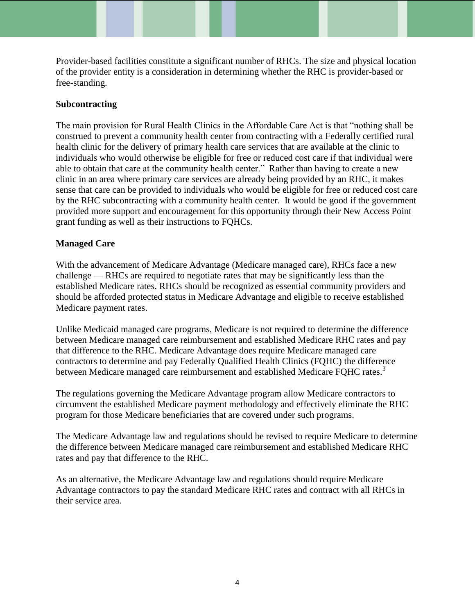Provider-based facilities constitute a significant number of RHCs. The size and physical location of the provider entity is a consideration in determining whether the RHC is provider-based or free-standing.

# **Subcontracting**

The main provision for Rural Health Clinics in the Affordable Care Act is that "nothing shall be construed to prevent a community health center from contracting with a Federally certified rural health clinic for the delivery of primary health care services that are available at the clinic to individuals who would otherwise be eligible for free or reduced cost care if that individual were able to obtain that care at the community health center." Rather than having to create a new clinic in an area where primary care services are already being provided by an RHC, it makes sense that care can be provided to individuals who would be eligible for free or reduced cost care by the RHC subcontracting with a community health center. It would be good if the government provided more support and encouragement for this opportunity through their New Access Point grant funding as well as their instructions to FQHCs.

# **Managed Care**

With the advancement of Medicare Advantage (Medicare managed care), RHCs face a new challenge — RHCs are required to negotiate rates that may be significantly less than the established Medicare rates. RHCs should be recognized as essential community providers and should be afforded protected status in Medicare Advantage and eligible to receive established Medicare payment rates.

Unlike Medicaid managed care programs, Medicare is not required to determine the difference between Medicare managed care reimbursement and established Medicare RHC rates and pay that difference to the RHC. Medicare Advantage does require Medicare managed care contractors to determine and pay Federally Qualified Health Clinics (FQHC) the difference between Medicare managed care reimbursement and established Medicare FQHC rates.<sup>3</sup>

The regulations governing the Medicare Advantage program allow Medicare contractors to circumvent the established Medicare payment methodology and effectively eliminate the RHC program for those Medicare beneficiaries that are covered under such programs.

The Medicare Advantage law and regulations should be revised to require Medicare to determine the difference between Medicare managed care reimbursement and established Medicare RHC rates and pay that difference to the RHC.

As an alternative, the Medicare Advantage law and regulations should require Medicare Advantage contractors to pay the standard Medicare RHC rates and contract with all RHCs in their service area.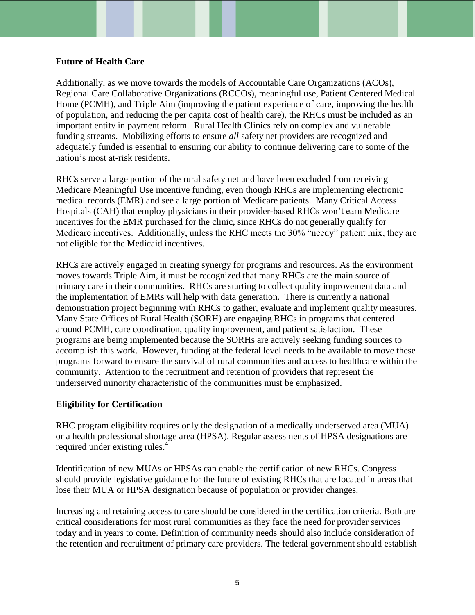#### **Future of Health Care**

Additionally, as we move towards the models of Accountable Care Organizations (ACOs), Regional Care Collaborative Organizations (RCCOs), meaningful use, Patient Centered Medical Home (PCMH), and Triple Aim (improving the patient experience of care, improving the health of population, and reducing the per capita cost of health care), the RHCs must be included as an important entity in payment reform. Rural Health Clinics rely on complex and vulnerable funding streams. Mobilizing efforts to ensure *all* safety net providers are recognized and adequately funded is essential to ensuring our ability to continue delivering care to some of the nation's most at-risk residents.

RHCs serve a large portion of the rural safety net and have been excluded from receiving Medicare Meaningful Use incentive funding, even though RHCs are implementing electronic medical records (EMR) and see a large portion of Medicare patients. Many Critical Access Hospitals (CAH) that employ physicians in their provider-based RHCs won't earn Medicare incentives for the EMR purchased for the clinic, since RHCs do not generally qualify for Medicare incentives. Additionally, unless the RHC meets the 30% "needy" patient mix, they are not eligible for the Medicaid incentives.

RHCs are actively engaged in creating synergy for programs and resources. As the environment moves towards Triple Aim, it must be recognized that many RHCs are the main source of primary care in their communities. RHCs are starting to collect quality improvement data and the implementation of EMRs will help with data generation. There is currently a national demonstration project beginning with RHCs to gather, evaluate and implement quality measures. Many State Offices of Rural Health (SORH) are engaging RHCs in programs that centered around PCMH, care coordination, quality improvement, and patient satisfaction. These programs are being implemented because the SORHs are actively seeking funding sources to accomplish this work. However, funding at the federal level needs to be available to move these programs forward to ensure the survival of rural communities and access to healthcare within the community. Attention to the recruitment and retention of providers that represent the underserved minority characteristic of the communities must be emphasized.

#### **Eligibility for Certification**

RHC program eligibility requires only the designation of a medically underserved area (MUA) or a health professional shortage area (HPSA). Regular assessments of HPSA designations are required under existing rules.<sup>4</sup>

Identification of new MUAs or HPSAs can enable the certification of new RHCs. Congress should provide legislative guidance for the future of existing RHCs that are located in areas that lose their MUA or HPSA designation because of population or provider changes.

Increasing and retaining access to care should be considered in the certification criteria. Both are critical considerations for most rural communities as they face the need for provider services today and in years to come. Definition of community needs should also include consideration of the retention and recruitment of primary care providers. The federal government should establish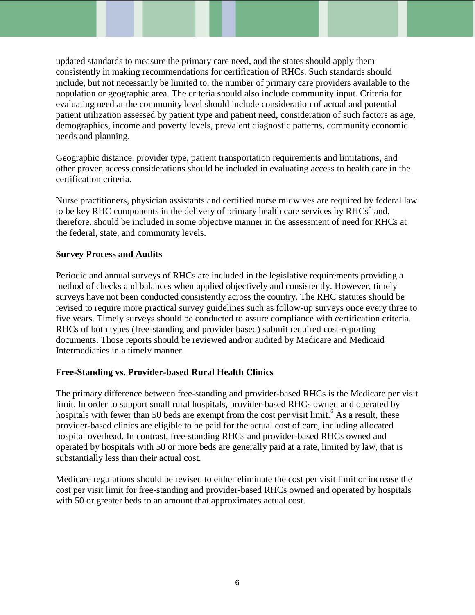updated standards to measure the primary care need, and the states should apply them consistently in making recommendations for certification of RHCs. Such standards should include, but not necessarily be limited to, the number of primary care providers available to the population or geographic area. The criteria should also include community input. Criteria for evaluating need at the community level should include consideration of actual and potential patient utilization assessed by patient type and patient need, consideration of such factors as age, demographics, income and poverty levels, prevalent diagnostic patterns, community economic needs and planning.

Geographic distance, provider type, patient transportation requirements and limitations, and other proven access considerations should be included in evaluating access to health care in the certification criteria.

Nurse practitioners, physician assistants and certified nurse midwives are required by federal law to be key RHC components in the delivery of primary health care services by RHCs<sup>5</sup> and, therefore, should be included in some objective manner in the assessment of need for RHCs at the federal, state, and community levels.

#### **Survey Process and Audits**

Periodic and annual surveys of RHCs are included in the legislative requirements providing a method of checks and balances when applied objectively and consistently. However, timely surveys have not been conducted consistently across the country. The RHC statutes should be revised to require more practical survey guidelines such as follow-up surveys once every three to five years. Timely surveys should be conducted to assure compliance with certification criteria. RHCs of both types (free-standing and provider based) submit required cost-reporting documents. Those reports should be reviewed and/or audited by Medicare and Medicaid Intermediaries in a timely manner.

# **Free-Standing vs. Provider-based Rural Health Clinics**

The primary difference between free-standing and provider-based RHCs is the Medicare per visit limit. In order to support small rural hospitals, provider-based RHCs owned and operated by hospitals with fewer than 50 beds are exempt from the cost per visit limit.<sup>6</sup> As a result, these provider-based clinics are eligible to be paid for the actual cost of care, including allocated hospital overhead. In contrast, free-standing RHCs and provider-based RHCs owned and operated by hospitals with 50 or more beds are generally paid at a rate, limited by law, that is substantially less than their actual cost.

Medicare regulations should be revised to either eliminate the cost per visit limit or increase the cost per visit limit for free-standing and provider-based RHCs owned and operated by hospitals with 50 or greater beds to an amount that approximates actual cost.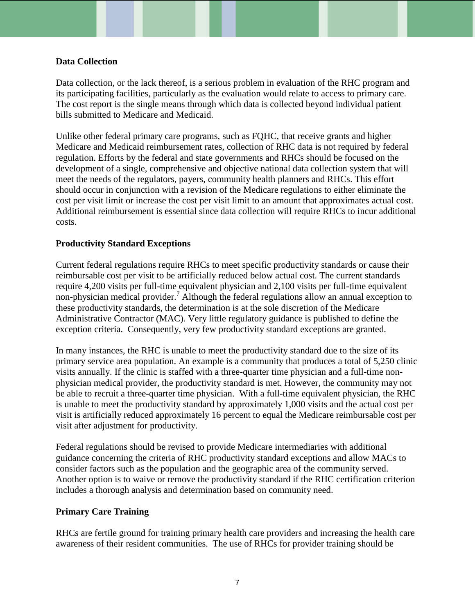#### **Data Collection**

Data collection, or the lack thereof, is a serious problem in evaluation of the RHC program and its participating facilities, particularly as the evaluation would relate to access to primary care. The cost report is the single means through which data is collected beyond individual patient bills submitted to Medicare and Medicaid.

Unlike other federal primary care programs, such as FQHC, that receive grants and higher Medicare and Medicaid reimbursement rates, collection of RHC data is not required by federal regulation. Efforts by the federal and state governments and RHCs should be focused on the development of a single, comprehensive and objective national data collection system that will meet the needs of the regulators, payers, community health planners and RHCs. This effort should occur in conjunction with a revision of the Medicare regulations to either eliminate the cost per visit limit or increase the cost per visit limit to an amount that approximates actual cost. Additional reimbursement is essential since data collection will require RHCs to incur additional costs.

#### **Productivity Standard Exceptions**

Current federal regulations require RHCs to meet specific productivity standards or cause their reimbursable cost per visit to be artificially reduced below actual cost. The current standards require 4,200 visits per full-time equivalent physician and 2,100 visits per full-time equivalent non-physician medical provider.<sup>7</sup> Although the federal regulations allow an annual exception to these productivity standards, the determination is at the sole discretion of the Medicare Administrative Contractor (MAC). Very little regulatory guidance is published to define the exception criteria. Consequently, very few productivity standard exceptions are granted.

In many instances, the RHC is unable to meet the productivity standard due to the size of its primary service area population. An example is a community that produces a total of 5,250 clinic visits annually. If the clinic is staffed with a three-quarter time physician and a full-time nonphysician medical provider, the productivity standard is met. However, the community may not be able to recruit a three-quarter time physician. With a full-time equivalent physician, the RHC is unable to meet the productivity standard by approximately 1,000 visits and the actual cost per visit is artificially reduced approximately 16 percent to equal the Medicare reimbursable cost per visit after adjustment for productivity.

Federal regulations should be revised to provide Medicare intermediaries with additional guidance concerning the criteria of RHC productivity standard exceptions and allow MACs to consider factors such as the population and the geographic area of the community served. Another option is to waive or remove the productivity standard if the RHC certification criterion includes a thorough analysis and determination based on community need.

#### **Primary Care Training**

RHCs are fertile ground for training primary health care providers and increasing the health care awareness of their resident communities. The use of RHCs for provider training should be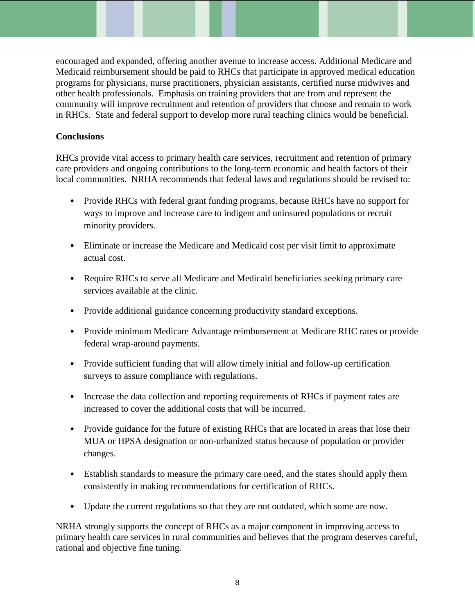encouraged and expanded, offering another avenue to increase access. Additional Medicare and Medicaid reimbursement should be paid to RHCs that participate in approved medical education programs for physicians, nurse practitioners, physician assistants, certified nurse midwives and other health professionals. Emphasis on training providers that are from and represent the community will improve recruitment and retention of providers that choose and remain to work in RHCs. State and federal support to develop more rural teaching clinics would be beneficial.

# **Conclusions**

RHCs provide vital access to primary health care services, recruitment and retention of primary care providers and ongoing contributions to the long-term economic and health factors of their local communities. NRHA recommends that federal laws and regulations should be revised to:

- Provide RHCs with federal grant funding programs, because RHCs have no support for ways to improve and increase care to indigent and uninsured populations or recruit minority providers.
- Eliminate or increase the Medicare and Medicaid cost per visit limit to approximate actual cost.
- Require RHCs to serve all Medicare and Medicaid beneficiaries seeking primary care services available at the clinic.
- Provide additional guidance concerning productivity standard exceptions.
- Provide minimum Medicare Advantage reimbursement at Medicare RHC rates or provide federal wrap-around payments.
- Provide sufficient funding that will allow timely initial and follow-up certification surveys to assure compliance with regulations.
- Increase the data collection and reporting requirements of RHCs if payment rates are increased to cover the additional costs that will be incurred.
- Provide guidance for the future of existing RHCs that are located in areas that lose their MUA or HPSA designation or non-urbanized status because of population or provider changes.
- Establish standards to measure the primary care need, and the states should apply them consistently in making recommendations for certification of RHCs.
- Update the current regulations so that they are not outdated, which some are now.

NRHA strongly supports the concept of RHCs as a major component in improving access to primary health care services in rural communities and believes that the program deserves careful, rational and objective fine tuning.